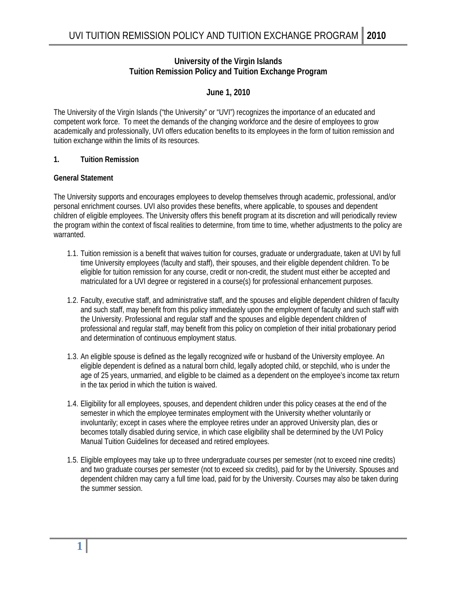# **University of the Virgin Islands Tuition Remission Policy and Tuition Exchange Program**

## **June 1, 2010**

The University of the Virgin Islands ("the University" or "UVI") recognizes the importance of an educated and competent work force. To meet the demands of the changing workforce and the desire of employees to grow academically and professionally, UVI offers education benefits to its employees in the form of tuition remission and tuition exchange within the limits of its resources.

#### **1. Tuition Remission**

#### **General Statement**

 personal enrichment courses. UVI also provides these benefits, where applicable, to spouses and dependent The University supports and encourages employees to develop themselves through academic, professional, and/or children of eligible employees. The University offers this benefit program at its discretion and will periodically review the program within the context of fiscal realities to determine, from time to time, whether adjustments to the policy are warranted.

- 1.1. Tuition remission is a benefit that waives tuition for courses, graduate or undergraduate, taken at UVI by full time University employees (faculty and staff), their spouses, and their eligible dependent children. To be eligible for tuition remission for any course, credit or non-credit, the student must either be accepted and matriculated for a UVI degree or registered in a course(s) for professional enhancement purposes.
- 1.2. Faculty, executive staff, and administrative staff, and the spouses and eligible dependent children of faculty and such staff, may benefit from this policy immediately upon the employment of faculty and such staff with the University. Professional and regular staff and the spouses and eligible dependent children of professional and regular staff, may benefit from this policy on completion of their initial probationary period and determination of continuous employment status.
- 1.3. An eligible spouse is defined as the legally recognized wife or husband of the University employee. An eligible dependent is defined as a natural born child, legally adopted child, or stepchild, who is under the age of 25 years, unmarried, and eligible to be claimed as a dependent on the employee's income tax return in the tax period in which the tuition is waived.
- 1.4. Eligibility for all employees, spouses, and dependent children under this policy ceases at the end of the semester in which the employee terminates employment with the University whether voluntarily or involuntarily; except in cases where the employee retires under an approved University plan, dies or becomes totally disabled during service, in which case eligibility shall be determined by the UVI Policy Manual Tuition Guidelines for deceased and retired employees.
- 1.5. Eligible employees may take up to three undergraduate courses per semester (not to exceed nine credits) and two graduate courses per semester (not to exceed six credits), paid for by the University. Spouses and dependent children may carry a full time load, paid for by the University. Courses may also be taken during the summer session.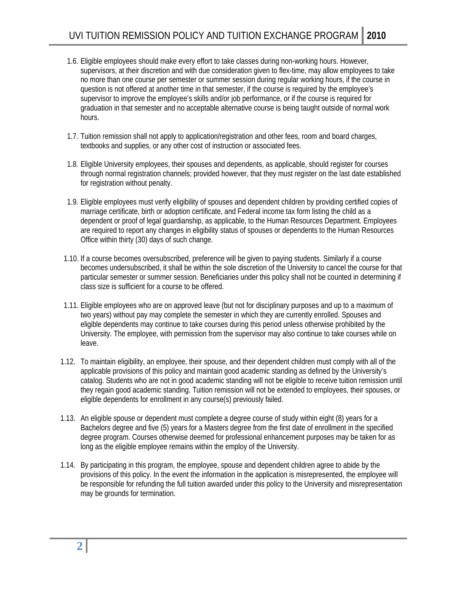- 1.6. Eligible employees should make every effort to take classes during non-working hours. However, supervisors, at their discretion and with due consideration given to flex-time, may allow employees to take no more than one course per semester or summer session during regular working hours, if the course in question is not offered at another time in that semester, if the course is required by the employee's supervisor to improve the employee's skills and/or job performance, or if the course is required for graduation in that semester and no acceptable alternative course is being taught outside of normal work hours.
- 1.7. Tuition remission shall not apply to application/registration and other fees, room and board charges, textbooks and supplies, or any other cost of instruction or associated fees.
- 1.8. Eligible University employees, their spouses and dependents, as applicable, should register for courses through normal registration channels; provided however, that they must register on the last date established for registration without penalty.
- 1.9. Eligible employees must verify eligibility of spouses and dependent children by providing certified copies of marriage certificate, birth or adoption certificate, and Federal income tax form listing the child as a dependent or proof of legal guardianship, as applicable, to the Human Resources Department. Employees are required to report any changes in eligibility status of spouses or dependents to the Human Resources Office within thirty (30) days of such change.
- 1.10. If a course becomes oversubscribed, preference will be given to paying students. Similarly if a course becomes undersubscribed, it shall be within the sole discretion of the University to cancel the course for that particular semester or summer session. Beneficiaries under this policy shall not be counted in determining if class size is sufficient for a course to be offered.
- 1.11. Eligible employees who are on approved leave (but not for disciplinary purposes and up to a maximum of two years) without pay may complete the semester in which they are currently enrolled. Spouses and eligible dependents may continue to take courses during this period unless otherwise prohibited by the University. The employee, with permission from the supervisor may also continue to take courses while on leave.
- 1.12. To maintain eligibility, an employee, their spouse, and their dependent children must comply with all of the applicable provisions of this policy and maintain good academic standing as defined by the University's catalog. Students who are not in good academic standing will not be eligible to receive tuition remission until they regain good academic standing. Tuition remission will not be extended to employees, their spouses, or eligible dependents for enrollment in any course(s) previously failed.
- 1.13. An eligible spouse or dependent must complete a degree course of study within eight (8) years for a Bachelors degree and five (5) years for a Masters degree from the first date of enrollment in the specified degree program. Courses otherwise deemed for professional enhancement purposes may be taken for as long as the eligible employee remains within the employ of the University.
- may be grounds for termination. 1.14. By participating in this program, the employee, spouse and dependent children agree to abide by the provisions of this policy. In the event the information in the application is misrepresented, the employee will be responsible for refunding the full tuition awarded under this policy to the University and misrepresentation